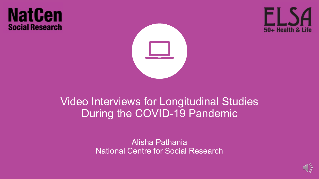#### **NatCen Social Research**





#### Video Interviews for Longitudinal Studies During the COVID-19 Pandemic

Alisha Pathania National Centre for Social Research

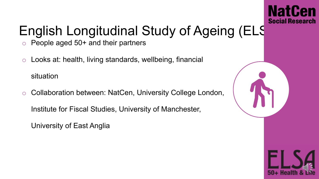

# English Longitudinal Study of Ageing (ELS

- People aged  $50+$  and their partners
- o Looks at: health, living standards, wellbeing, financial

situation

o Collaboration between: NatCen, University College London,

Institute for Fiscal Studies, University of Manchester,

University of East Anglia

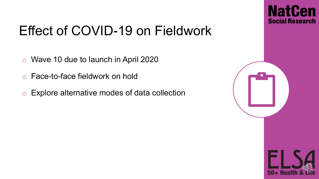

#### Effect of COVID-19 on Fieldwork

- o Wave 10 due to launch in April 2020
- o Face-to-face fieldwork on hold
- o Explore alternative modes of data collection

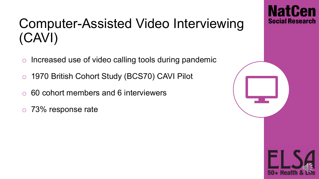#### Computer-Assisted Video Interviewing (CAVI)

- o Increased use of video calling tools during pandemic
- o 1970 British Cohort Study (BCS70) CAVI Pilot
- o 60 cohort members and 6 interviewers
- o 73% response rate

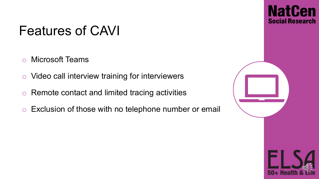#### Features of CAVI

- o Microsoft Teams
- o Video call interview training for interviewers
- o Remote contact and limited tracing activities
- o Exclusion of those with no telephone number or email

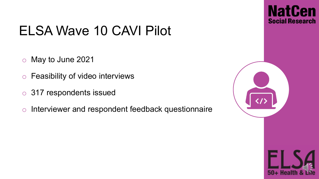### ELSA Wave 10 CAVI Pilot

- o May to June 2021
- o Feasibility of video interviews
- o 317 respondents issued
- o Interviewer and respondent feedback questionnaire

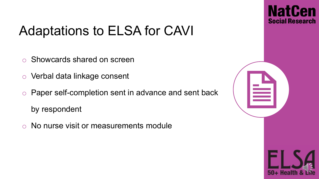

## Adaptations to ELSA for CAVI

- o Showcards shared on screen
- o Verbal data linkage consent
- o Paper self-completion sent in advance and sent back by respondent
- o No nurse visit or measurements module

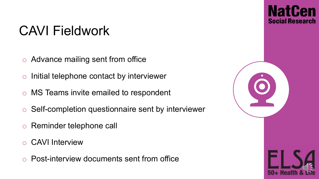#### CAVI Fieldwork

- o Advance mailing sent from office
- o Initial telephone contact by interviewer
- o MS Teams invite emailed to respondent
- o Self-completion questionnaire sent by interviewer
- o Reminder telephone call
- o CAVI Interview
- o Post-interview documents sent from office

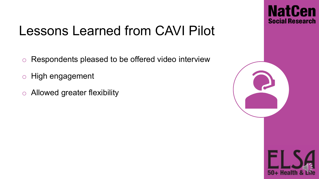

### Lessons Learned from CAVI Pilot

- o Respondents pleased to be offered video interview
- o High engagement
- o Allowed greater flexibility

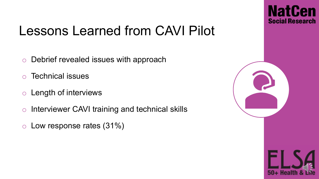

### Lessons Learned from CAVI Pilot

- o Debrief revealed issues with approach
- o Technical issues
- o Length of interviews
- o Interviewer CAVI training and technical skills
- o Low response rates (31%)

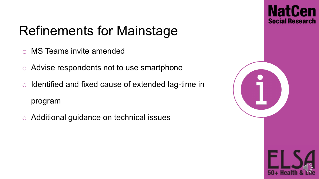

# Refinements for Mainstage

- o MS Teams invite amended
- o Advise respondents not to use smartphone
- o Identified and fixed cause of extended lag-time in program
- o Additional guidance on technical issues

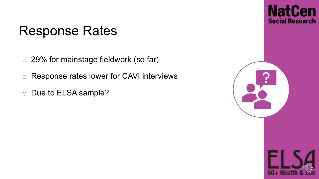#### Response Rates

- o 29% for mainstage fieldwork (so far)
- o Response rates lower for CAVI interviews
- o Due to ELSA sample?

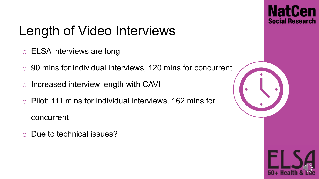

# Length of Video Interviews

- o ELSA interviews are long
- o 90 mins for individual interviews, 120 mins for concurrent
- o Increased interview length with CAVI
- o Pilot: 111 mins for individual interviews, 162 mins for concurrent
- o Due to technical issues?

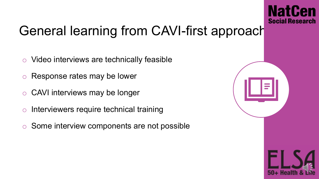

## General learning from CAVI-first approach

- o Video interviews are technically feasible
- Response rates may be lower
- o CAVI interviews may be longer
- o Interviewers require technical training
- Some interview components are not possible

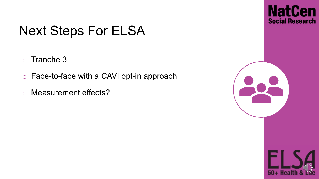### Next Steps For ELSA

- o Tranche 3
- o Face-to-face with a CAVI opt-in approach
- o Measurement effects?